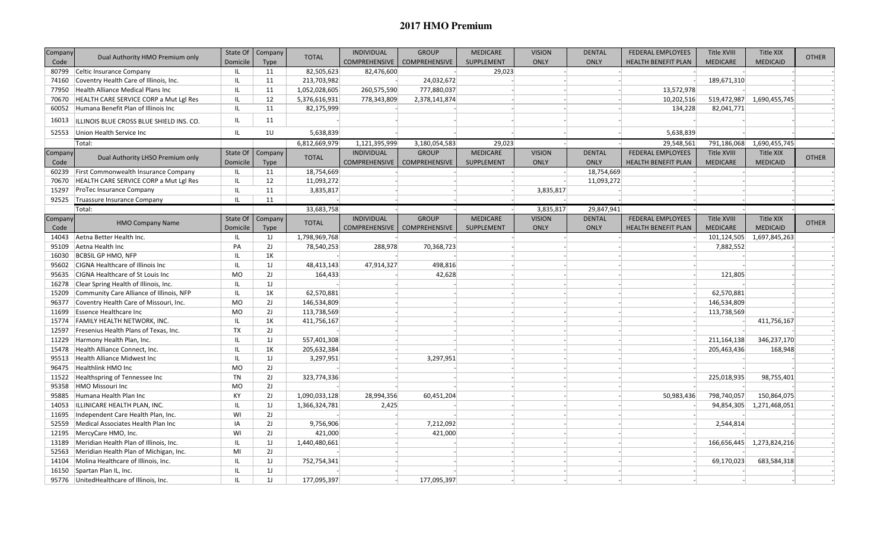## **2017 HMO Premium**

| Company | Dual Authority HMO Premium only             | State Of  | Company        | <b>TOTAL</b>  | <b>INDIVIDUAL</b>    | <b>GROUP</b>         | <b>MEDICARE</b> | <b>VISION</b> | <b>DENTAL</b> | FEDERAL EMPLOYEES          | <b>Title XVIII</b> | Title XIX       | <b>OTHER</b> |
|---------|---------------------------------------------|-----------|----------------|---------------|----------------------|----------------------|-----------------|---------------|---------------|----------------------------|--------------------|-----------------|--------------|
| Code    |                                             | Domicile  | <b>Type</b>    |               | <b>COMPREHENSIVE</b> | <b>COMPREHENSIVE</b> | SUPPLEMENT      | <b>ONLY</b>   | <b>ONLY</b>   | <b>HEALTH BENEFIT PLAN</b> | <b>MEDICARE</b>    | <b>MEDICAID</b> |              |
| 80799   | Celtic Insurance Company                    | IL.       | 11             | 82,505,623    | 82,476,600           |                      | 29,023          |               |               |                            |                    |                 |              |
| 74160   | Coventry Health Care of Illinois, Inc.      | IL.       | 11             | 213,703,982   |                      | 24,032,672           |                 |               |               |                            | 189,671,310        |                 |              |
| 77950   | Health Alliance Medical Plans Inc           | -IL       | 11             | 1,052,028,605 | 260,575,590          | 777,880,037          |                 |               |               | 13,572,978                 |                    |                 |              |
| 70670   | HEALTH CARE SERVICE CORP a Mut Lgl Res      | IL        | 12             | 5,376,616,931 | 778,343,809          | 2,378,141,874        |                 |               |               | 10,202,516                 | 519,472,987        | 1,690,455,745   |              |
|         | 60052 Humana Benefit Plan of Illinois Inc   | IL.       | 11             | 82,175,999    |                      |                      |                 |               |               | 134,228                    | 82,041,771         |                 |              |
| 16013   | ILLINOIS BLUE CROSS BLUE SHIELD INS. CO.    | <b>IL</b> | 11             |               |                      |                      |                 |               |               |                            |                    |                 |              |
| 52553   | Union Health Service Inc                    | <b>IL</b> | 10             | 5,638,839     |                      |                      |                 |               |               | 5,638,839                  |                    |                 |              |
|         | Total:                                      |           |                | 6,812,669,979 | 1,121,395,999        | 3,180,054,583        | 29,023          |               |               | 29,548,561                 | 791,186,068        | 1,690,455,745   |              |
| Company |                                             | State Of  | Company        |               | <b>INDIVIDUAL</b>    | <b>GROUP</b>         | <b>MEDICARE</b> | <b>VISION</b> | <b>DENTAL</b> | FEDERAL EMPLOYEES          | Title XVIII        | Title XIX       |              |
| Code    | Dual Authority LHSO Premium only            | Domicile  | Type           | <b>TOTAL</b>  | <b>COMPREHENSIVE</b> | COMPREHENSIVE        | SUPPLEMENT      | <b>ONLY</b>   | <b>ONLY</b>   | HEALTH BENEFIT PLAN        | <b>MEDICARE</b>    | <b>MEDICAID</b> | <b>OTHER</b> |
| 60239   | <b>First Commonwealth Insurance Company</b> | IL.       | 11             | 18,754,669    |                      |                      |                 |               | 18,754,669    |                            |                    |                 |              |
| 70670   | HEALTH CARE SERVICE CORP a Mut Lgl Res      | <b>IL</b> | 12             | 11,093,272    |                      |                      |                 |               | 11,093,272    |                            |                    |                 |              |
| 15297   | <b>ProTec Insurance Company</b>             | <b>IL</b> | 11             | 3,835,817     |                      |                      |                 | 3,835,817     |               |                            |                    |                 |              |
| 92525   | Truassure Insurance Company                 | IL        | 11             |               |                      |                      |                 |               |               |                            |                    |                 |              |
|         | Total:                                      |           |                | 33,683,758    |                      |                      |                 | 3,835,817     | 29,847,941    |                            |                    |                 |              |
| Company |                                             | State Of  | Company        |               | <b>INDIVIDUAL</b>    | <b>GROUP</b>         | <b>MEDICARE</b> | <b>VISION</b> | <b>DENTAL</b> | <b>FEDERAL EMPLOYEES</b>   | <b>Title XVIII</b> | Title XIX       |              |
| Code    | <b>HMO Company Name</b>                     | Domicile  | <b>Type</b>    | <b>TOTAL</b>  | <b>COMPREHENSIVE</b> | COMPREHENSIVE        | SUPPLEMENT      | ONLY          | <b>ONLY</b>   | <b>HEALTH BENEFIT PLAN</b> | <b>MEDICARE</b>    | <b>MEDICAID</b> | <b>OTHER</b> |
| 14043   | Aetna Better Health Inc.                    | IL.       | 1J             | 1,798,969,768 |                      |                      |                 |               |               |                            | 101,124,505        | 1,697,845,263   |              |
| 95109   | Aetna Health Inc                            | PA        | 2J             | 78,540,253    | 288,978              | 70,368,723           |                 |               |               |                            | 7,882,552          |                 |              |
| 16030   | <b>BCBSIL GP HMO, NFP</b>                   | <b>IL</b> | 1K             |               |                      |                      |                 |               |               |                            |                    |                 |              |
| 95602   | CIGNA Healthcare of Illinois Inc            | <b>IL</b> | 1J             | 48,413,143    | 47,914,327           | 498,816              |                 |               |               |                            |                    |                 |              |
| 95635   | <b>CIGNA Healthcare of St Louis Inc.</b>    | MO        | 2J             | 164,433       |                      | 42,628               |                 |               |               |                            | 121,805            |                 |              |
| 16278   | Clear Spring Health of Illinois, Inc.       | <b>IL</b> | 1 <sub>J</sub> |               |                      |                      |                 |               |               |                            |                    |                 |              |
| 15209   | Community Care Alliance of Illinois, NFP    | -IL       | 1K             | 62,570,881    |                      |                      |                 |               |               |                            | 62,570,881         |                 |              |
| 96377   | Coventry Health Care of Missouri, Inc.      | MO        | 2J             | 146,534,809   |                      |                      |                 |               |               |                            | 146,534,809        |                 |              |
| 11699   | <b>Essence Healthcare Inc</b>               | MO        | 2J             | 113,738,569   |                      |                      |                 |               |               |                            | 113,738,569        |                 |              |
| 15774   | <b>FAMILY HEALTH NETWORK, INC.</b>          | <b>IL</b> | 1K             | 411,756,167   |                      |                      |                 |               |               |                            |                    | 411,756,167     |              |
| 12597   | Fresenius Health Plans of Texas, Inc.       | TX        | 2J             |               |                      |                      |                 |               |               |                            |                    |                 |              |
| 11229   | Harmony Health Plan, Inc.                   | IL        | 1 <sub>J</sub> | 557,401,308   |                      |                      |                 |               |               |                            | 211, 164, 138      | 346,237,170     |              |
| 15478   | Health Alliance Connect, Inc.               | <b>IL</b> | 1K             | 205,632,384   |                      |                      |                 |               |               |                            | 205,463,436        | 168,948         |              |
| 95513   | Health Alliance Midwest Inc                 | <b>IL</b> | 1J             | 3,297,951     |                      | 3,297,951            |                 |               |               |                            |                    |                 |              |
| 96475   | Healthlink HMO Inc                          | MO        | 2J             |               |                      |                      |                 |               |               |                            |                    |                 |              |
| 11522   | Healthspring of Tennessee Inc               | <b>TN</b> | 2J             | 323,774,336   |                      |                      |                 |               |               |                            | 225,018,935        | 98,755,401      |              |
| 95358   | HMO Missouri Inc                            | MO        | 2J             |               |                      |                      |                 |               |               |                            |                    |                 |              |
| 95885   | Humana Health Plan Inc                      | KY        | 2J             | 1,090,033,128 | 28,994,356           | 60,451,204           |                 |               |               | 50,983,436                 | 798,740,057        | 150,864,075     |              |
| 14053   | ILLINICARE HEALTH PLAN, INC.                | IL.       | 1J             | 1,366,324,781 | 2,425                |                      |                 |               |               |                            | 94,854,305         | 1,271,468,051   |              |
| 11695   | Independent Care Health Plan, Inc.          | WI        | 2J             |               |                      |                      |                 |               |               |                            |                    |                 |              |
| 52559   | Medical Associates Health Plan Inc          | IA        | 2J             | 9,756,906     |                      | 7,212,092            |                 |               |               |                            | 2,544,814          |                 |              |
|         |                                             | WI        | 2J             |               |                      |                      |                 |               |               |                            |                    |                 |              |
| 12195   | MercyCare HMO, Inc.                         |           |                | 421,000       |                      | 421,000              |                 |               |               |                            |                    |                 |              |
| 13189   | Meridian Health Plan of Illinois, Inc.      | IL.       | 1J             | 1,440,480,661 |                      |                      |                 |               |               |                            | 166,656,445        | 1,273,824,216   |              |
| 52563   | Meridian Health Plan of Michigan, Inc.      | MI        | 2J             |               |                      |                      |                 |               |               |                            |                    |                 |              |
| 14104   | Molina Healthcare of Illinois, Inc.         | IL        | 1 <sub>J</sub> | 752,754,341   |                      |                      |                 |               |               |                            | 69,170,023         | 683,584,318     |              |
| 16150   | Spartan Plan IL, Inc.                       | <b>IL</b> | 1J             |               |                      |                      |                 |               |               |                            |                    |                 |              |
|         | 95776 UnitedHealthcare of Illinois, Inc.    | IL        | 1 <sub>J</sub> | 177,095,397   |                      | 177,095,397          |                 |               |               |                            |                    |                 |              |